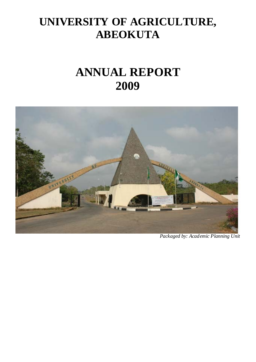# **UNIVERSITY OF AGRICULTURE, ABEOKUTA**

# **ANNUAL REPORT 2009**



*Packaged by: Academic Planning Unit*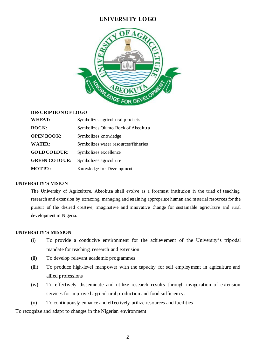# **UNIVERSITY LOGO**



#### **DESCRIPTIO N O F LO GO**

| WHEAT:               | Symbolizes agricultural products     |
|----------------------|--------------------------------------|
| ROCK:                | Symbolizes Olumo Rock of Abeokuta    |
| <b>OPEN BOOK:</b>    | Symbolizes knowledge                 |
| <b>WATER:</b>        | Symbolizes water resources/fisheries |
| <b>GOLD COLOUR:</b>  | Symbolizes excellence                |
| <b>GREEN COLOUR:</b> | Symbolizes agriculture               |
| MOTTO:               | Knowledge for Development            |

#### **UNIVERSITY'S VISIO N**

The University of Agriculture, Abeokuta shall evolve as a foremost institution in the triad of teaching, research and extension by attracting, managing and retaining appropriate human and material resources for the pursuit of the desired creative, imaginative and innovative change for sustainable agriculture and rural development in Nigeria.

#### **UNIVERSITY'S MISSION**

- (i) To provide a conducive environment for the achievement of the University's tripodal mandate for teaching, research and extension
- (ii) To develop relevant academic programmes
- (iii) To produce high-level manpower with the capacity for self employment in agriculture and allied professions
- (iv) To effectively disseminate and utilize research results through invigoration of extension services for improved agricultural production and food sufficiency.
- (v) To continuously enhance and effectively utilize resources and facilities

To recognize and adapt to changes in the Nigerian environment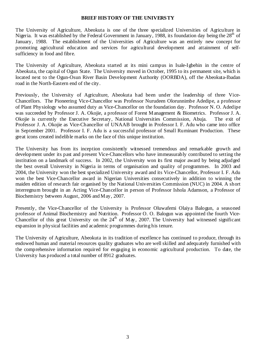#### **BRIEF HISTORY OF THE UNIVERSTY**

The University of Agriculture, Abeokuta is one of the three specialized Universities of Agriculture in Nigeria. It was established by the Federal Government in January, 1988, its foundation day being the  $28<sup>th</sup>$  of January, 1988. The establishment of the Universities of Agriculture was an entirely new concept for promoting agricultural education and services for agricultural development and attainment of selfsufficiency in food and fibre.

The University of Agriculture, Abeokuta started at its mini campus in Isale-Igbehin in the centre of Abeokuta, the capital of Ogun State. The University moved in October, 1995 to its permanent site, which is located next to the Ogun-Osun River Basin Development Authority (OORBDA), off the Abeokuta-Ibadan road in the North-Eastern end of the city.

Previously, the University of Agriculture, Abeokuta had been under the leadership of three Vice-Chancellors. The Pioneering Vice-Chancellor was Professor Nurudeen Olorunnimbe Adedipe, a professor of Plant Physiology who assumed duty as Vice-Chancellor on the foundation day. Professor N. O. Adedipe was succeeded by Professor J. A. Okojie, a professor of Forest Management & Biometrics. Professor J. A. Okojie is currently the Executive Secretary, National Universities Commission, Abuja. The exit of Professor J. A. Okojie as Vice-Chancellor of UNAAB brought in Professor I. F. Adu who came into office in September 2001. Professor I. F. Adu is a successful professor of Small Ruminant Production. These great icons created indelible marks on the face of this unique institution.

The University has from its inception consistently witnessed tremendous and remarkable growth and development under its past and present Vice-Chancellors who have immeasurably contributed to setting the institution on a landmark of success. In 2002, the University won its first major award by being adjudged the best overall University in Nigeria in terms of organisation and quality of programmes. In 2003 and 2004, the University won the best specialized University award and its Vice-Chancellor, Professor I. F. Adu won the best Vice-Chancellor award in Nigerian Universities consecutively in addition to winning the maiden edition of research fair organised by the National Universities Commission (NUC) in 2004. A short interregnum brought in an Acting Vice-Chancellor in person of Professor Ishola Adamson, a Professor of Biochemistry between August, 2006 and May, 2007.

Presently, the Vice-Chancellor of the University is Professor Oluwafemi Olaiya Balogun, a seasoned professor of Animal Biochemistry and Nutrition. Professor O. O. Balogun was appointed the fourth Vice-Chancellor of this great University on the  $24<sup>th</sup>$  of May, 2007. The University had witnessed significant expansion in physical facilities and academic programmes during his tenure.

The University of Agriculture, Abeokuta in its tradition of excellence has continued to produce, through its endowed human and material resources quality graduates who are well skilled and adequately furnished with the comprehensive information required for engaging in economic agricultural production. To date, the University has produced a total number of 8912 graduates.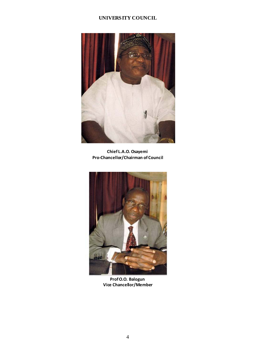# **UNIVERSITY COUNCIL**



**Chief L.A.O. Osayemi Pro‐Chancellor/Chairman of Council**



**ProfO.O. Balogun Vice Chancellor/Member**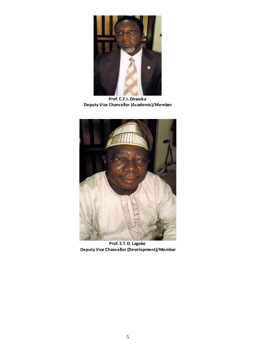

**Prof. C.F.I. Onwuka Deputy Vice Chancellor (Academic)/Member**



**Prof. S.T.O. Lagoke Deputy Vice Chancellor (Development)/Member**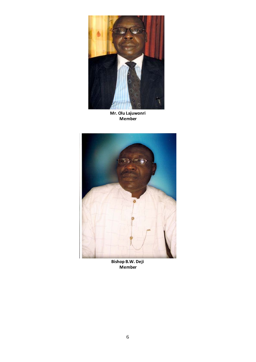

**Mr. Olu Lajuwonri Member**



**Bishop B.W. Deji Member**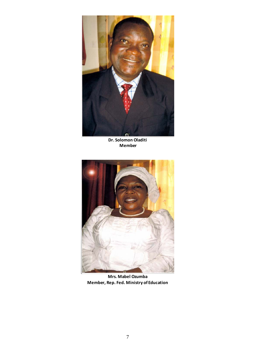

**Dr. Solomon Oladiti Member**



**Mrs. Mabel Ozumba Member, Rep. Fed. Ministry of Education**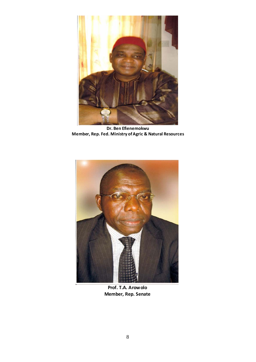

**Dr. Ben Efienemokwu Member, Rep. Fed. Ministry ofAgric & Natural Resources**



**Prof. T.A. Arowolo Member, Rep. Senate**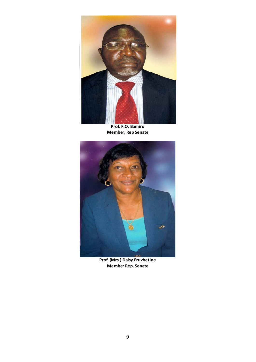

**Prof. F.O. Bamiro Member, Rep Senate**



**Prof. (Mrs.) Daisy Eruvbetine Member Rep. Senate**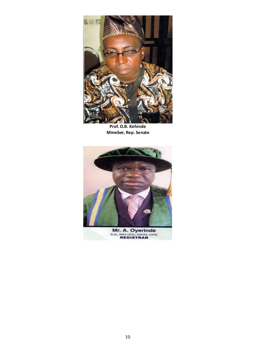

**Prof. O.B. Kehinde Mmeber, Rep. Senate**



**Mr. A. Oyerinde**<br>B.Sc, MPA (IFE), MNIM, AIPM<br>REGISTRAR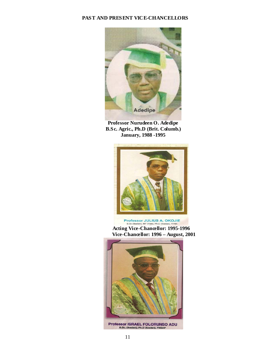# **PAST AND PRESENT VICE-CHANCELLORS**



**Professor Nurudeen O. Adedipe B.Sc. Agric., Ph.D (Brit. Columb.) January, 1988 -1995** 



**Professor JULIUS A. OKOJIE**<br>B.Sc (Ibadan), MF (Yale), Ph.D (Ibadan), FFAN **Acting Vice-Chancellor: 1995-1996 Vice-Chancellor: 1996 – August, 2001** 

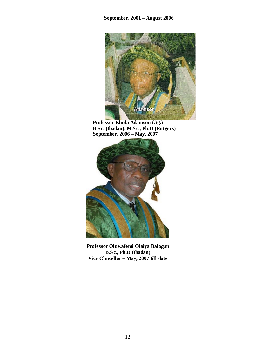

**Professor Ishola Adamson (Ag.) B.Sc. (Ibadan), M.Sc., Ph.D (Rutgers) September, 2006 – May, 2007** 



**Professor Oluwafemi Olaiya Balogun B.Sc., Ph.D (Ibadan) Vice Chncellor – May, 2007 till date**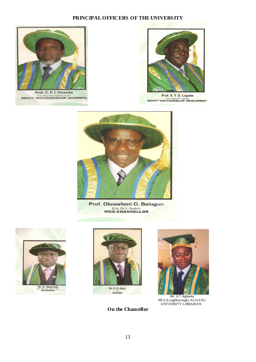# **PRINCIPAL OFFICERS OF THE UNIVERSITY**



Prof. C. F. I. Onwuka **DEPUTY VICE-CHANCELLOR (ACADEMIC)** 



Prof. S. T. O. Lagoke B.Sc. (ABU), Ph.D. (Ibadan)<br>DEPUTY VICE-CHANCELLOR (DEVELOPMENT



a sa salawan na kata

Prof. Oluwafemi O. Balogun **B.Sc. Ph.D. (Ibadan)**<br>VICE-CHANCELLOR







 MLS (Loughborough) ALA (UK) UNIVERSITY LIBRARIAN

**On the Chancellor**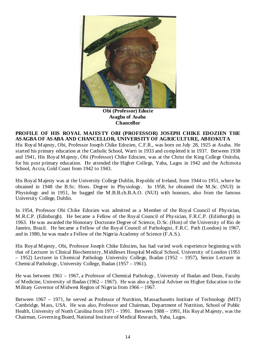

**Obi (Professor) Edozie Asagba of Asaba Chancellor** 

**PROFILE OF HIS ROYAL MAJESTY OBI (PROFESSOR) JOSEPH CHIKE EDOZIEN THE ASAGBA OF ASABA AND CHANCELLOR, UNIVERSITY OF AGRICULTURE, ABEOKUTA** 

His Royal Majesty, Obi, Professor Joseph Chike Edozien, C.F.R., was born on July 28, 1925 at Asaba. He started his primary education at the Catholic School, Warri in 1933 and completed it in 1937. Between 1938 and 1941, His Royal Majesty, Obi (Professor) Chike Edozien, was at the Christ the King College Onitsha, for his post primary education. He attended the Higher College, Yaba, Lagos in 1942 and the Achimota School, Accra, Gold Coast from 1942 to 1943.

His Royal Majesty was at the University College Dublin, Republic of Ireland, from 1944 to 1951, where he obtained in 1948 the B.Sc. Hons. Degree in Physiology. In 1958, he obtained the M.Sc. (NUI) in Physiology and in 1951, he bagged the M.B.B.ch.B.A.O. (NUI) with honours, also from the famous University College, Dublin.

In 1954, Professor Obi Chike Edozien was admitted as a Member of the Royal Council of Physician, M.R.C.P. (Edinburgh). He became a Fellow of the Royal Council of Physician, F.R.C.P. (Edinburgh) in 1963. He was awarded the Honorary Doctorate Degree of Science, D.Sc. (Hon) of the University of Rio de Janeiro, Brazil. He became a Fellow of the Royal Council of Pathologist, F.R.C. Path (London) in 1967, and in 1980, he was made a Fellow of the Nigeria Academy of Science (F.A.S.).

His Royal Majesty, Obi, Professor Joseph Chike Edozien, has had varied work experience beginning with that of Lecturer in Clinical Biochemistry, Middlesex Hospital Medical School, University of London (1951 – 1952) Lecturer in Chemical Pathology University College, Ibadan (1952 – 1957), Senior Lecturer in Chemical Pathology, University College, Ibadan (1957 – 1961).

He was between 1961 – 1967, a Professor of Chemical Pathology, University of Ibadan and Dean, Faculty of Medicine, University of Ibadan (1962 – 1967). He was also a Special Adviser on Higher Education to the Military Governor of Midwest Region of Nigeria from 1966 – 1967.

Between 1967 – 1971, he served as Professor of Nutrition, Massachusetts Institute of Technology (MIT) Cambridge, Mass, USA. He was also, Professor and Chairman, Department of Nutrition, School of Public Health, University of North Carolina from 1971 – 1991. Between 1988 – 1991, His Royal Majesty, was the Chairman, Governing Board, National Institute of Medical Research, Yaba, Lagos.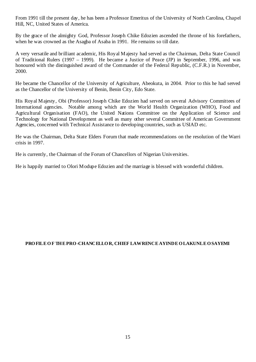From 1991 till the present day, he has been a Professor Emeritus of the University of North Carolina, Chapel Hill, NC, United States of America.

By the grace of the almighty God, Professor Joseph Chike Edozien ascended the throne of his forefathers, when he was crowned as the Asagba of Asaba in 1991. He remains so till date.

A very versatile and brilliant academic, His Royal Majesty had served as the Chairman, Delta State Council of Traditional Rulers (1997 – 1999). He became a Justice of Peace (JP) in September, 1996, and was honoured with the distinguished award of the Commander of the Federal Republic, (C.F.R.) in November, 2000.

He became the Chancellor of the University of Agriculture, Abeokuta, in 2004. Prior to this he had served as the Chancellor of the University of Benin, Benin City, Edo State.

His Royal Majesty, Obi (Professor) Joseph Chike Edozien had served on several Advisory Committees of International agencies. Notable among which are the World Health Organization (WHO), Food and Agricultural Organisation (FAO), the United Nations Committee on the Application of Science and Technology for National Development as well as many other several Committee of American Government Agencies, concerned with Technical Assistance to developing countries, such as USIAD etc.

He was the Chairman, Delta State Elders Forum that made recommendations on the resolution of the Warri crisis in 1997.

He is currently, the Chairman of the Forum of Chancellors of Nigerian Universities.

He is happily married to Olori Modupe Edozien and the marriage is blessed with wonderful children.

# PRO FILE O F THE PRO -CHANCELLO R, CHIEF LAW RENCE AY INDE O LAKUNLE O SAYEMI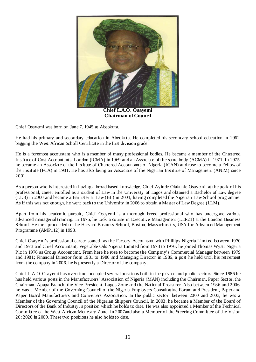

**Chief L.A.O. Osayemi Chairman of Council**

Chief Osayemi was born on June 7, 1945 at Abeokuta.

He had his primary and secondary education in Abeokuta. He completed his secondary school education in 1962, bagging the West African Scholl Certificate in the first division grade.

He is a foremost accountant who is a member of many professional bodies. He became a member of the Chartered Institute of Cost Accountants, London (ICMA) in 1969 and an Associate of the same body (ACMA) in 1971. In 1975, he became an Associate of the Institute of Chartered Accountants of Nigeria (ICAN) and rose to become a Fellow of the institute (FCA) in 1981. He has also being an Associate of the Nigerian Institute of Management (ANIM) since 2001.

As a person who is interested in having a broad based knowledge, Chief Ayinde Olakunle Osayemi, at the peak of his professional, career enrolled as a student of Law in the University of Lagos and obtained a Bachelor of Law degree (LLB) in 2000 and became a Barrister at Law (BL) in 2001, having completed the Nigerian Law School programme. As if this was not enough, he went back to the University in 2006 to obtain a Master of Law Degree (LLM).

Apart from his academic pursuit, Chief Osayemi is a thorough breed professional who has undergone various advanced managerial training. In 1975, he took a course in Executive Management (LEP21) at the London Business School. He then proceeded to the Harvard Business School, Boston, Massachusetts, USA for Advanced Management Programme (AMP112) in 1993.

Chief Osayemi's professional career soared as the Factory Accountant with Phillips Nigeria Limited between 1970 and 1973 and Chief Accountant, Vegetable Oils Nigeria Limited from 1973 to 1976. he joined Thomas Wyatt Nigeria Plc in 1976 as Group Accountant. From here he rose to become the Company's Commercial Manager between 1979 and 1981; Financial Director from 1981 to 1986 and Managing Director in 1986, a post he held until his retirement from the company in 2006. he is presently a Director of the company.

Chief L.A.O. Osayemi has over time, occupied several positions both in the private and public sectors. Since 1986 he has held various posts in the Manufacturers' Association of Nigeria (MAN) including the Chairman, Paper Sector, the Chairman, Apapa Branch, the Vice President, Lagos Zone and the National Treasurer. Also between 1986 and 2006, he was a Member of the Governing Council of the Nigeria Employers Consultative Forum and President, Paper and Paper Board Manufacturers and Converters Association. In the public sector, between 2000 and 2003, he was a Member of the Governing Council of the Nigerian Shippers Council. In 2003, he became a Member of the Board of Directors of the Bank of Industry, a position which he holds to date. He was also appointed a Member of the Technical Committee of the West African Monetary Zone. In 2007and also a Member of the Steering Committee of the Vision 20: 2020 in 2009. These two positions he also holds to date.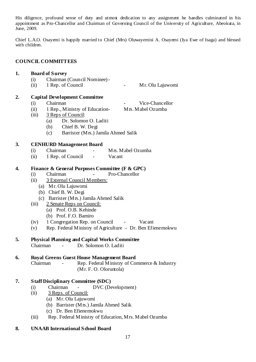His diligence, profound sense of duty and utmost dedication to any assignment he handles culminated in his appointment as Pro-Chancellor and Chairman of Governing Council of the University of Agriculture, Abeokuta, in June, 2009.

Chief L.A.O. Osayemi is happily married to Chief (Mrs) Oluwayemisi A. Osayemi (Iya Ewe of Isaga) and blessed with children.

#### **COUNCIL COMMITTEES**

# **1. Board of Survey**

- (i) Chairman (Council Nominee) -
- (ii) 1 Rep. of Council Mr. Olu Lajuwomi

# **2. Capital Development Committee**

- (i) Chairman Vice-Chancellor
- (ii)  $1$  Rep., Ministry of Education- Mrs. Mabel Ozumba
- (iii) 3 Reps of Council:
	- (a) Dr. Solomon O. Laditi
	- (b) Chief B. W. Degi
	- (c) Barrister (Mrs.) Jamila Ahmed Salik

# **3. CENHURD Management Board**

- (i) Chairman Mrs. Mabel Ozumba
- (ii) 1 Rep. of Council Vacant

# **4. Finance & General Purposes Committee (F & GPC)**

- (i) Chairman Pro-Chancellor
- (ii) 3 External Council Members:
	- (a) Mr. Olu Lajuwomi
	- (b) Chief B. W. Degi
	- (c) Barrister (Mrs.) Jamila Ahmed Salik
- (iii) 2 Senate Reps on Council:
	- (a) Prof. O.B. Kehinde
		- (b) Prof. F.O. Bamiro
- (iv) 1 Congregation Rep. on Council Vacant
- (v) Rep. Federal Ministry of Agriculture Dr. Ben Efienemokwu

# **5. Physical Planning and Capital Works Committee**

Chairman - Dr. Solomon O. Laditi

# **6. Royal Greens Guest House Management Board**

Chairman - Rep. Federal Ministry of Commerce & Industry (Mr. F. O. Oloruntola)

# **7. Staff Disciplinary Committee (SDC)**

- (i) Chairman DVC (Development)
- (ii) 3 Reps. of Council:
	- (a) Mr. Olu Lajuwomi
	- (b) Barrister (Mrs.) Jamila Ahmed Salik
	- (c) Dr. Ben Efienemokwu
- (iii) Rep. Federal Ministry of Education, Mrs. Mabel Ozumba

# **8. UNAAB International School Board**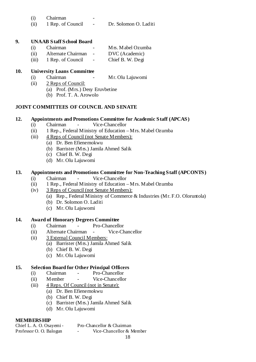- (i) Chairman
- (ii) 1 Rep. of Council Dr. Solomon O. Laditi

# **9. UNAAB Staff School Board**

| (i) | Chairman                | $\overline{\phantom{a}}$       | M <sub>rs</sub> . Mabel Ozumba |
|-----|-------------------------|--------------------------------|--------------------------------|
|     | (ii) Alternate Chairman | $\sim$ $-$                     | DVC (Academic)                 |
|     | (iii) 1 Rep. of Council | <b>Contract Contract State</b> | Chief B. W. Degi               |

# **10. University Loans Committee**

- (i) Chairman Mr. Olu Lajuwomi
- (ii) 2 Reps of Council:
	- (a) Prof. (Mrs.) Desy Eruvbetine
	- (b) Prof. T. A. Arowolo

# **JOINT COMMITTEES OF COUNCIL AND SENATE**

# **12. Appointments and Promotions Committee for Academic Staff (APCAS)**

- (i) Chairman Vice-Chancellor
- (ii) 1 Rep., Federal Ministry of Education Mrs. Mabel Ozumba
- (iii) 4 Reps of Council (not Senate Members):
	- (a) Dr. Ben Efienemokwu
	- (b) Barrister (Mrs.) Jamila Ahmed Salik
	- (c) Chief B. W. Degi
	- (d) Mr. Olu Lajuwomi

# **13. Appointments and Promotions Committee for Non-Teaching Staff (APCONTS)**

- (i) Chairman Vice-Chancellor
- (ii) 1 Rep., Federal Ministry of Education Mrs. Mabel Ozumba
- (iv) 3 Reps of Council (not Senate Members):
	- (a) Rep., Federal Ministry of Commerce & Industries (Mr. F.O. Oloruntola)
	- (b) Dr. Solomon O. Laditi
	- (c) Mr. Olu Lajuwomi

# **14. Award of Honorary Degrees Committee**

- (i) Chairman Pro-Chancellor
- (ii) Alternate Chairman Vice-Chancellor
- (ii) 3 External Council Members:
	- (a) Barrister (Mrs.) Jamila Ahmed Salik
	- (b) Chief B. W. Degi
	- (c) Mr. Olu Lajuwomi

# **15. Selection Board for Other Principal Officers**

- (i) Chairman Pro-Chancellor
- (ii) Member Vice-Chancellor
- (iii) 4 Reps. Of Council (not in Senate):
	- (a) Dr. Ben Efienemokwu
		- (b) Chief B. W. Degi
		- (c) Barrister (Mrs.) Jamila Ahmed Salik
		- (d) Mr. Olu Lajuwomi

# **MEMBERSHIP**<br>Chief L.A.O.Osavemi

# $P_{\text{m}}$  Chancellor  $\&$  Chairman

| CHIVE L. $\mu$ . O. Osay Mill - |                          | 1 IU-Chancellor & Chamman |
|---------------------------------|--------------------------|---------------------------|
| Professor O. O. Balogun         | $\overline{\phantom{0}}$ | Vice-Chancellor & Member  |
|                                 |                          |                           |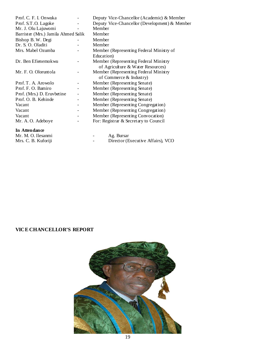| Prof. C. F. I. Onwuka               |                          | Deputy Vice-Chancellor (Academic) & Member    |
|-------------------------------------|--------------------------|-----------------------------------------------|
| Prof. S.T.O. Lagoke                 |                          | Deputy Vice-Chancellor (Development) & Member |
| Mr. J. Olu Lajuwomi                 |                          | Member                                        |
| Barrister (Mrs.) Jamila Ahmed Salik |                          | Member                                        |
| Bishop B.W. Degi                    |                          | Member                                        |
| Dr. S. O. Oladiti                   |                          | Member                                        |
| Mrs. Mabel Ozumba                   |                          | Member (Representing Federal Ministry of      |
|                                     |                          | Education)                                    |
| Dr. Ben Efienemokwu                 |                          | Member (Representing Federal Ministry         |
|                                     |                          | of Agriculture & Water Resources)             |
| Mr. F. O. Oloruntola                |                          | Member (Representing Federal Ministry         |
|                                     |                          | of Commerce $&$ Industry)                     |
| Prof. T. A. Arowolo                 |                          | Member (Representing Senate)                  |
| Prof. F. O. Bamiro                  |                          | Member (Representing Senate)                  |
| Prof. (Mrs.) D. Eruvbetine          |                          | Member (Representing Senate)                  |
| Prof. O. B. Kehinde                 |                          | Member (Representing Senate)                  |
| Vacant                              |                          | Member (Representing Congregation)            |
| Vacant                              | $\overline{\phantom{0}}$ | Member (Representing Congregation)            |
| Vacant                              |                          | Member (Representing Convocation)             |
| Mr. A.O. Adeboye                    |                          | For: Registrar & Secretary to Council         |
| In Attendance                       |                          |                                               |
| Mr. M. O. Ilesanmi                  |                          | Ag. Bursar                                    |
| Mrs. C. B. Kuforiji                 |                          | Director (Executive Affairs), VCO             |

# **VICE CHANCELLOR'S REPORT**

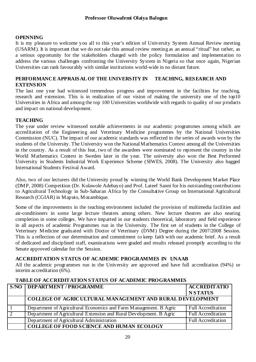# **OPENNING**

It is my pleasure to welcome you all to this year's edition of University System Annual Review meeting (USARM). It is important that we do not take this annual review meeting as an annual "ritual" but rather, as a serious opportunity for the stakeholders charged with the policy formulation and implementation to address the various challenges confronting the University System in Nigeria so that once again, Nigerian Universities can rank favourably with similar institutions world-wide in no distant future.

#### **PERFORMANCE APPRAISAL OF THE UNIVERSITY IN TEACHING, RESEARCH AND EXTENSION**

The last one year had witnessed tremendous progress and improvement in the facilities for teaching, research and extension. This is in realization of our vision of making the university one of the top10 Universities in Africa and among the top 100 Universities worldwide with regards to quality of our products and impact on national development.

#### **TEACHING**

The year under review witnessed notable achievements in our academic programmes among which are accreditation of the Engineering and Veterinary Medicine programmes by the National Universities Commission (NUC). The impact of our academic standards was reflected in the series of awards won by the students of the University. The University won the National Mathematics Contest among all the Universities in the country. As a result of this feat, two of the awardees were nominated to represent the country in the World Mathematics Contest in Sweden later in the year. The university also won the Best Performed University in Students Industrial Work Experience Scheme (SIWES, 2008). The University also bagged International Students Festival Award.

Also, two of our lecturers did the University proud by winning the World Bank Development Market Place (DMP, 2008) Competition (Dr. Kolawole Adebayo) and Prof. Lateef Sanni for his outstanding contributions to Agricultural Technology in Sub-Saharan Africa by the Consultative Group on International Agricultural Research (CGIAR) in Maputo, Mozambique.

Some of the improvements in the teaching environment included the provision of multimedia facilities and air-conditioners in some large lecture theatres among others. New lecture theatres are also nearing completion in some colleges. We have imparted in our students theoretical, laboratory and field experience in all aspects of academic Programmes run in the University. The first set of students in the College of Veterinary Medicine graduated with Doctor of Veterinary (DVM) Degree during the 2007/2008 Session. This is a reflection of our determination and commitment to keep faith with our academic brief. As a result of dedicated and disciplined staff, examinations were graded and results released promptly according to the Senate approved calendar for the Session.

# **ACCREDITATION STATUS OF ACADEMIC PROGRAMMES IN UNAAB**

All the academic programmes run in the University are approved and have full accreditation (94%) or interim accreditation (6%).

#### **TABLE OF ACCREDITATION STATUS OF ACADEMIC PROGRAMMES**

|                | <b>S/NO   DEPARTMENT / PROGRAMME</b>                                | <b>ACCREDITATIO</b>       |
|----------------|---------------------------------------------------------------------|---------------------------|
|                |                                                                     | <b>NSTATUS</b>            |
|                | COLLEGE OF AGRIC ULTURAL MANAGEMENT AND RURAL DEVELOPMENT           |                           |
|                | Department of Agricultural Economics and Farm Management. B Agric   | <b>Full Accreditation</b> |
| $\overline{2}$ | Department of Agricultural Extension and Rural Development. B Agric | <b>Full Accreditation</b> |
|                | Department of Agricultural Administration                           | <b>Full Accreditation</b> |
|                | <b>COLLEGE OF FOOD SCIENCE AND HUMAN ECOLOGY</b>                    |                           |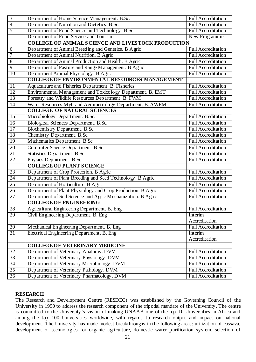| $\overline{3}$  | Department of Home Science Management. B.Sc.                | <b>Full Accreditation</b> |  |  |  |
|-----------------|-------------------------------------------------------------|---------------------------|--|--|--|
| $\overline{4}$  | Department of Nutrition and Dietetics. B.Sc.                | <b>Full Accreditation</b> |  |  |  |
| $\overline{5}$  | Department of Food Science and Technology. B.Sc.            | <b>Full Accreditation</b> |  |  |  |
|                 | Department of Food Service and Tourism                      | New Programme             |  |  |  |
|                 | <b>COLLEGE OF ANIMAL SCIENCE AND LIVESTOCK PRODUCTION</b>   |                           |  |  |  |
| 6               | Department of Animal Breeding and Genetics. B Agric         | Full Accreditation        |  |  |  |
| 7               | Department of Animal Nutrition. B Agric                     | <b>Full Accreditation</b> |  |  |  |
| 8               | Department of Animal Production and Health. B Agric         | <b>Full Accreditation</b> |  |  |  |
| $\overline{9}$  | Department of Pasture and Range Management. B Agric         | <b>Full Accreditation</b> |  |  |  |
| 10              | Department Animal Physiology. B Agric                       | <b>Full Accreditation</b> |  |  |  |
|                 | <b>COLLEGE OF ENVIRONMENTAL RESOURCES MANAGEMENT</b>        |                           |  |  |  |
| 11              | Aquaculture and Fisheries Department. B. Fisheries          | <b>Full Accreditation</b> |  |  |  |
| 12              | Environmental Management and Toxicology Department. B. EMT  | <b>Full Accreditation</b> |  |  |  |
| 13              | Forestry and Wildlife Resources Department. B. FWM          | <b>Full Accreditation</b> |  |  |  |
| 14              | Water Resources Mgt. and Agrometrology Department. B. AWRM  | <b>Full Accreditation</b> |  |  |  |
|                 | <b>COLLEGE OF NATURAL SCIENCES</b>                          |                           |  |  |  |
| $\overline{15}$ | Microbiology Department. B.Sc.                              | <b>Full Accreditation</b> |  |  |  |
| 16              | Biological Sciences Department. B.Sc.                       | <b>Full Accreditation</b> |  |  |  |
| $\overline{17}$ | Biochemistry Department. B.Sc.                              | <b>Full Accreditation</b> |  |  |  |
| 18              | Chemistry Department. B.Sc.                                 | <b>Full Accreditation</b> |  |  |  |
| 19              | Mathematics Department. B.Sc.                               | <b>Full Accreditation</b> |  |  |  |
| 20              | Computer Science Department. B.Sc.                          | <b>Full Accreditation</b> |  |  |  |
| 21              | Statistics Department. B.Sc.                                | <b>Full Accreditation</b> |  |  |  |
| 22              | Physics Department. B.Sc.                                   | <b>Full Accreditation</b> |  |  |  |
|                 | <b>COLLEGE OF PLANT SCIENCE</b>                             |                           |  |  |  |
| 23              | Department of Crop Protection. B Agric                      | <b>Full Accreditation</b> |  |  |  |
| 24              | Department of Plant Breeding and Seed Technology. B Agric   | <b>Full Accreditation</b> |  |  |  |
| $\overline{25}$ | Department of Horticulture. B Agric                         | <b>Full Accreditation</b> |  |  |  |
| $\overline{26}$ | Department of Plant Physiology and Crop Production. B Agric | <b>Full Accreditation</b> |  |  |  |
| 27              | Department of Soil Science and Agric Mechanization. B Agric | <b>Full Accreditation</b> |  |  |  |
|                 | <b>COLLEGE OF ENGINEERING</b>                               |                           |  |  |  |
| $\overline{28}$ | Agricultural Engineering Department. B. Eng                 | <b>Full Accreditation</b> |  |  |  |
| 29              | Civil Engineering Department. B. Eng                        | Interim                   |  |  |  |
|                 |                                                             | Accreditation             |  |  |  |
| 30              | Mechanical Engineering Department. B. Eng                   | <b>Full Accreditation</b> |  |  |  |
| 31              | Electrical Engineering Department. B. Eng                   | Interim                   |  |  |  |
|                 |                                                             | Accreditation             |  |  |  |
|                 | <b>COLLEGE OF VETERINARY MEDICINE</b>                       |                           |  |  |  |
| $\overline{32}$ | Department of Veterinary Anatomy. DVM                       | <b>Full Accreditation</b> |  |  |  |
| 33              | Department of Veterinary Physiology. DVM                    | <b>Full Accreditation</b> |  |  |  |
| 34              | Department of Veterinary Microbiology. DVM                  | <b>Full Accreditation</b> |  |  |  |
| $\overline{35}$ | Department of Veterinary Pathology. DVM                     | <b>Full Accreditation</b> |  |  |  |
| 36              | Department of Veterinary Pharmacology. DVM                  | <b>Full Accreditation</b> |  |  |  |

# **RESEARCH**

The Research and Development Centre (RESDEC) was established by the Governing Council of the University in 1990 to address the research component of the tripodal mandate of the University. The centre is committed to the University's vision of making UNAAB one of the top 10 Universities in Africa and among the top 100 Universities worldwide, with regards to research output and impact on national development. The University has made modest breakthroughs in the following areas: utilization of cassava, development of technologies for organic agriculture, domestic water purification system, selection of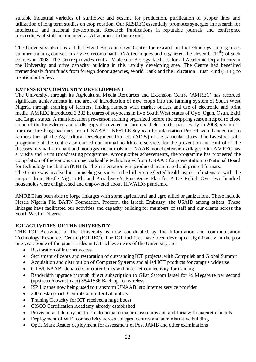suitable industrial varieties of sunflower and sesame for production, purification of pepper lines and utilization of long term studies on crop rotation. Our RESDEC essentially promotes synergies in research for intellectual and national development. Research Publications in reputable journals and conference proceedings of staff are included as Attachment to this report.

The University also has a full fledged Biotechnology Centre for research in biotechnology. It organizes summer training courses in *in-vitro* recombinant DNA techniques and organized the eleventh  $(11<sup>th</sup>)$  of such courses in 2008. The Centre provides central Molecular Biology facilities for all Academic Departments in the University and drive capacity building in this rapidly developing area. The Centre had benefited tremendously from funds from foreign donor agencies, World Bank and the Education Trust Fund (ETF), to mention but a few.

# **EXTENSION/ COMMUNITY DEVELOPMENT**

The University, through its Agricultural Media Resources and Extension Centre (AMREC) has recorded significant achievements in the area of introduction of new crops into the farming system of South West Nigeria through training of farmers, linking farmers with market outlets and use of electronic and print media. AMREC introduced 3,382 hectares of soybeans in five South West states of Oyo, Ogun, Osun, Ekiti and Lagos states. A multi-location pre-season training organized before the cropping season helped to close some of the knowledge and skills gaps discovered on farmers' fields in the past. Early in 2008, six multipurpose threshing machines from UNAAB – NESTLE Soybean Popularization Project were handed out to farmers through the Agricultural Development Projects (ADPs) of the particular states. The Livestock subprogramme of the centre also carried out animal health care services for the prevention and control of the diseases of small ruminant and monogastric animals in UNAAB model extension villages. Our AMREC has a Media and Farm Broadcasting programme. Among other achievements, the programme has pioneered the compilation of the various commercializable technologies from UNAAB for presentation to National Board for technology Incubation (NBTI). The presentation was produced in animated and printed formats.

The Centre was involved in counseling services in the hitherto neglected health aspect of extension with the support from Nestle Nigeria Plc and Presidency's Emergency Plan for AIDS Relief. Over two hundred households were enlightened and empowered about HIV/AIDS pandemic.

AMREC has been able to forge linkages with some agricultural and agro allied organizations. These include Nestle Nigeria Plc, BATN Foundation, Procorn, the Israeli Embassy, the USAID among others. These linkages have facilitated our activities and capacity building for members of staff and our clients across the South West of Nigeria.

# **ICT ACTIVITIES OF THE UNIVERSITY**

THE ICT Activities of the University is now coordinated by the Information and communication Technology Resources Centre (ICTREC). The ICT facilities have been developed significantly in the past one year. Some of the giant strides in ICT achievements of the University are:

- Restoration of internet access
- Settlement of debts and restoration of outstanding ICT projects, with Compuleb and Global Summit
- Acquisition and distribution of Computer Systems and allied ICT products for campus wide use
- GTB/UNAAB- donated Computer Units with internet connectivity for training.
- Bandwidth upgrade through direct subscription to Gilat Satcom Israel for 1/4 Megabyte per second (upstream/downstream) 384/1536 Back up for wireless.
- ISP License now being used to transform UNAAB into internet service provider
- 200 desktop-rich Central Computer Laboratory
- Training Capacity for ICT received a huge boost
- CISCO Certification Academy already established
- Provision and deployment of multimedia to major classrooms and auditoria with magnetic boards
- Deployment of WIFI connectivity across colleges, centres and administrative building.
- Optic Mark Reader deployment for assessment of Post JAMB and other examinations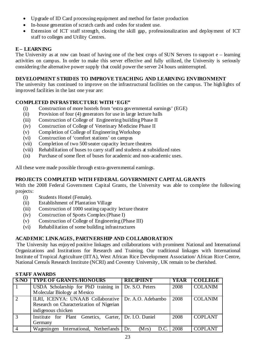- Upgrade of ID Card processing equipment and method for faster production
- In-house generation of scratch cards and codes for student use.
- Extension of ICT staff strength, closing the skill gap, professionalization and deployment of ICT staff to colleges and Utility Centres.

# **E – LEARNING**

The University as at now can boast of having one of the best crops of SUN Servers to support e – learning activities on campus. In order to make this server effective and fully utilized, the University is seriously considering the alternative power supply that could power the server 24 hours uninterrupted.

# **DEVELOPMENT STRIDES TO IMPROVE TEACHING AND LEARNING ENVIRONMENT**

The university has continued to improve on the infrastructural facilities on the campus. The highlights of improved facilities in the last one year are:

# **COMPLETED INFRASTRUCTURE WITH 'EGE"**

- (i) Construction of more hostels from 'extra governmental earnings' (EGE)
- (ii) Provision of four (4) generators for use in large lecture halls
- (iii) Construction of College of Engineering building Phase II
- (iv) Construction of College of Veterinary Medicine Phase II
- (v) Completion of College of Engineering Workshop
- (vi) Construction of 'comfort stations' on campus
- (vii) Completion of two 500 seater capacity lecture theatres
- (viii) Rehabilitation of buses to carry staff and students at subsidized rates
- (ix) Purchase of some fleet of buses for academic and non-academic uses.

All these were made possible through extra-governmental earnings.

# **PROJECTS COMPLETED WITH FEDERAL GOVERNMENT CAPITAL GRANTS**

With the 2008 Federal Government Capital Grants, the University was able to complete the following projects:

- (i) Students Hostel (Female).
- (ii) Establishment of Plantation Village
- (iii) Construction of 1000 seating capacity lecture theatre
- (iv) Construction of Sports Complex (Phase I)
- (v) Construction of College of Engineering (Phase III)
- (vi) Rehabilitation of some building infrastructures

# **ACADEMIC LINKAGES, PARTNERSHIP AND COLLABORATION**

 The University has enjoyed positive linkages and collaborations with prominent National and International Organizations and Institutions for Research and Training. Our traditional linkages with International Institute of Tropical Agriculture (IITA), West African Rice Development Association/ African Rice Centre, National Cereals Research Institute (NCRI) and Coventry University, UK remain to be cherished.

# **STAFF AWARDS**

| S/NO           | <b>TYPE OF GRANTS/HONOURS</b>                         | <b>RECIPIENT</b> | <b>YEAR</b> | <b>COLLEGE</b> |
|----------------|-------------------------------------------------------|------------------|-------------|----------------|
| $\mathbf{1}$   | USDA Scholarship for PhD training in                  | Dr. S.O. Peters  | 2008        | <b>COLANIM</b> |
|                | Molecular Biology at Mexico                           |                  |             |                |
| 2              | ILRI, ICENYA: UNAAB Collaborative   Dr. A.O. Adebambo |                  | 2008        | <b>COLANIM</b> |
|                | Research on Characterization of Nigerian              |                  |             |                |
|                | indigenous chicken                                    |                  |             |                |
| $\overline{3}$ | Institute for Plant Genetics, Garter, Dr. I.O. Daniel |                  | 2008        | <b>COPLANT</b> |
|                | Germany                                               |                  |             |                |
|                | Wageningen International, Netherlands Dr.             | (Mrs)<br>D.C.    | 2008        | <b>COPLANT</b> |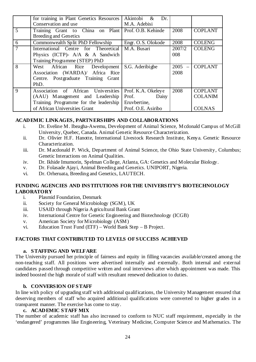|                | for training in Plant Genetics Resources | Akintobi<br>$\alpha$<br>Dr. |                     |                |
|----------------|------------------------------------------|-----------------------------|---------------------|----------------|
|                | Conservation and use                     | M.A. Adebisi                |                     |                |
| $\overline{5}$ | Training Grant to China on Plant         | Prof. O.B. Kehinde          | 2008                | <b>COPLANT</b> |
|                | Breeding and Genetics                    |                             |                     |                |
| 6              | Commonwealth Split PhD Fellowship        | Engr. O.S. Olokode          | 2008                | <b>COLENG</b>  |
|                | International Centre for Theoretical     | M.A. Busari                 | $\overline{2007}/2$ | <b>COLENG</b>  |
|                | Physics (ICTP)- $A/A \& A$ Sandwich      |                             | 008                 |                |
|                | Training Programme (STEP) PhD            |                             |                     |                |
| 8              | West African Rice Development            | S.G. Aderibigbe             | 2005<br>$\equiv$    | <b>COPLANT</b> |
|                | Association (WARDA)/ Africa Rice         |                             | 2008                |                |
|                | Centre. Postgraduate Training Grant      |                             |                     |                |
|                | PhD.                                     |                             |                     |                |
| 9              | Association of African Universities      | Prof. K.A. Okeleye          | 2008                | <b>COPLANT</b> |
|                | (AAU) Management and Leadership          | Prof.<br>Daisy              |                     | <b>COLANIM</b> |
|                | Training. Programme for the leadership   | Eruvbertine,                |                     |                |
|                | of African Universities Grant            | Prof. O.E. Asiribo          |                     | <b>COLNAS</b>  |

# **ACADEMIC LINKAGES, PARTNERSHIPS AND COLLABORATIONS**

- i. Dr. Eveline M. Ibeagha-Awemu, Development of Animal Science, Mcdonald Campus of McGill University, Quebec, Canada. Animal Genetic Resource Characterization.
- ii. Dr. Olivier H.F. Hanotte, International Livestock Research Institute, Kenya. Genetic Resource Characterization.
- iii. Dr. Macdonald P. Wick, Department of Animal Science, the Ohio State University, Columbus; Genetic Interactions on Animal Qualities.
- iv. Dr. Ikhide Imumorin, Spelman College, Atlanta, GA: Genetics and Molecular Biology.
- v. Dr. Folasade Ajayi, Animal Breeding and Genetics. UNIPORT, Nigeria.
- vi. Dr. Orheruata, Breeding and Genetics, LAUTECH.

# **FUNDING AGENCIES AND INSTITUTIONS FOR THE UNIVERSITY'S BIOTECHNOLOGY LABORATORY**

- i. Plasmid Foundation, Denmark
- ii. Society for General Microbiology (SGM), UK
- iii. USAID through Nigeria Agricultural Bank Grant
- iv. International Centre for Genetic Engineering and Biotechnology (ICGB)
- v. American Society for Microbiology (ASM)
- vi. Education Trust Fund (ETF) World Bank Step B Project.

# **FACTORS THAT CONTRIBUTED TO LEVELS OF SUCCESS ACHIEVED**

#### **a. STAFFING AND WELFARE**

The University pursued her principle of fairness and equity in filling vacancies available/created among the non-teaching staff. All positions were advertised internally and externally. Both internal and external candidates passed through competitive written and oral interviews after which appointment was made. This indeed boosted the high morale of staff with resultant renewed dedication to duties.

#### **b. CONVERSION OF STAFF**

In line with policy of upgrading staff with additional qualifications, the University Management ensured that deserving members of staff who acquired additional qualifications were converted to higher grades in a transparent manner. The exercise has come to stay.

# **c. ACADEMIC STAFF MIX**

The number of academic staff has also increased to conform to NUC staff requirement, especially in the 'endangered' programmes like Engineering, Veterinary Medicine, Computer Science and Mathematics. The